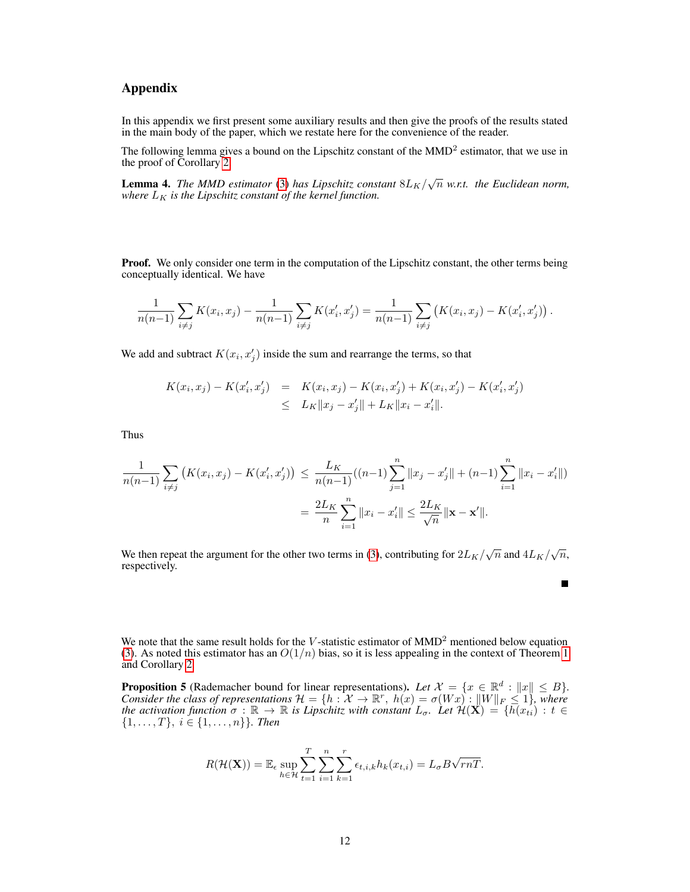## Appendix

In this appendix we first present some auxiliary results and then give the proofs of the results stated in the main body of the paper, which we restate here for the convenience of the reader.

The following lemma gives a bound on the Lipschitz constant of the MMD<sup>2</sup> estimator, that we use in the proof of Corollary [2.](#page--1-0)

<span id="page-0-0"></span>**Lemma 4.** The MMD estimator [\(3\)](#page--1-1) has Lipschitz constant  $8L_K/\sqrt{n}$  w.r.t. the Euclidean norm, *where*  $L_K$  *is the Lipschitz constant of the kernel function.* 

**Proof.** We only consider one term in the computation of the Lipschitz constant, the other terms being conceptually identical. We have

$$
\frac{1}{n(n-1)}\sum_{i\neq j} K(x_i,x_j) - \frac{1}{n(n-1)}\sum_{i\neq j} K(x'_i,x'_j) = \frac{1}{n(n-1)}\sum_{i\neq j} (K(x_i,x_j) - K(x'_i,x'_j)).
$$

We add and subtract  $K(x_i, x'_j)$  inside the sum and rearrange the terms, so that

$$
K(x_i, x_j) - K(x'_i, x'_j) = K(x_i, x_j) - K(x_i, x'_j) + K(x_i, x'_j) - K(x'_i, x'_j)
$$
  
\n
$$
\leq L_K ||x_j - x'_j|| + L_K ||x_i - x'_i||.
$$

Thus

$$
\frac{1}{n(n-1)} \sum_{i \neq j} \left( K(x_i, x_j) - K(x'_i, x'_j) \right) \leq \frac{L_K}{n(n-1)}((n-1) \sum_{j=1}^n ||x_j - x'_j|| + (n-1) \sum_{i=1}^n ||x_i - x'_i||)
$$

$$
= \frac{2L_K}{n} \sum_{i=1}^n ||x_i - x'_i|| \leq \frac{2L_K}{\sqrt{n}} ||\mathbf{x} - \mathbf{x}'||.
$$

We then repeat the argument for the other two terms in [\(3\)](#page--1-1), contributing for  $2L_K/\sqrt{n}$  and  $4L_K/\sqrt{n}$ , respectively.

We note that the same result holds for the V-statistic estimator of  $MMD<sup>2</sup>$  mentioned below equation [\(3\)](#page--1-1). As noted this estimator has an  $O(1/n)$  bias, so it is less appealing in the context of Theorem [1](#page--1-2) and Corollary [2.](#page--1-0)

<span id="page-0-1"></span>**Proposition 5** (Rademacher bound for linear representations). Let  $\mathcal{X} = \{x \in \mathbb{R}^d : ||x|| \leq B\}$ . *Consider the class of representations*  $\mathcal{H} = \{h : \mathcal{X} \to \mathbb{R}^r, h(x) = \sigma(Wx) : ||W||_F \leq 1\}$ , where *the activation function*  $\sigma : \mathbb{R} \to \mathbb{R}$  *is Lipschitz with constant*  $L_{\sigma}$ . Let  $\mathcal{H}(\mathbf{X}) = \{h(x_{ti}) : t \in$  $\{1, \ldots, T\}, i \in \{1, \ldots, n\}\}.$  Then

$$
R(\mathcal{H}(\mathbf{X})) = \mathbb{E}_{\epsilon} \sup_{h \in \mathcal{H}} \sum_{t=1}^{T} \sum_{i=1}^{n} \sum_{k=1}^{r} \epsilon_{t,i,k} h_k(x_{t,i}) = L_{\sigma} B \sqrt{rnT}.
$$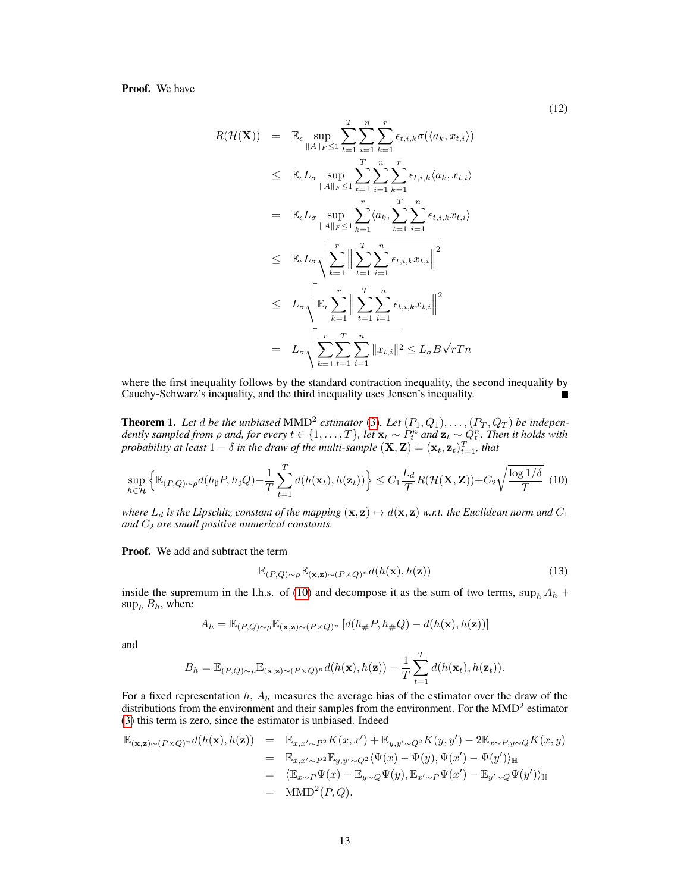## Proof. We have

$$
R(\mathcal{H}(\mathbf{X})) = \mathbb{E}_{\epsilon} \sup_{\|A\|_F \le 1} \sum_{t=1}^T \sum_{i=1}^n \sum_{k=1}^r \epsilon_{t,i,k} \sigma(\langle a_k, x_{t,i} \rangle)
$$
  
\n
$$
\le \mathbb{E}_{\epsilon} L_{\sigma} \sup_{\|A\|_F \le 1} \sum_{t=1}^T \sum_{i=1}^n \sum_{k=1}^r \epsilon_{t,i,k} \langle a_k, x_{t,i} \rangle
$$
  
\n
$$
= \mathbb{E}_{\epsilon} L_{\sigma} \sup_{\|A\|_F \le 1} \sum_{k=1}^r \langle a_k, \sum_{t=1}^T \sum_{i=1}^n \epsilon_{t,i,k} x_{t,i} \rangle
$$
  
\n
$$
\le \mathbb{E}_{\epsilon} L_{\sigma} \sqrt{\sum_{k=1}^T \left\| \sum_{t=1}^T \sum_{i=1}^n \epsilon_{t,i,k} x_{t,i} \right\|^2}
$$
  
\n
$$
\le L_{\sigma} \sqrt{\sum_{k=1}^T \sum_{t=1}^T \sum_{i=1}^n \epsilon_{t,i,k} x_{t,i} \right\|^2}
$$
  
\n
$$
= L_{\sigma} \sqrt{\sum_{k=1}^T \sum_{t=1}^T \sum_{i=1}^n \|x_{t,i}\|^2} \le L_{\sigma} B \sqrt{r T n}
$$

where the first inequality follows by the standard contraction inequality, the second inequality by Cauchy-Schwarz's inequality, and the third inequality uses Jensen's inequality.

**Theorem 1.** Let  $d$  be the unbiased MMD<sup>2</sup> estimator [\(3\)](#page--1-1). Let  $(P_1, Q_1), \ldots, (P_T, Q_T)$  be independently sampled from  $\rho$  and, for every  $t \in \{1,\ldots,T\}$ , let  $\mathbf{x}_t \sim P_t^n$  and  $\mathbf{z}_t \sim Q_t^n$ . Then it holds with *probability at least*  $1 - \delta$  *in the draw of the multi-sample*  $(\mathbf{X}, \mathbf{Z}) = (\mathbf{x}_t, \mathbf{z}_t)_{t=1}^T$ *, that* 

$$
\sup_{h\in\mathcal{H}}\left\{\mathbb{E}_{(P,Q)\sim\rho}d(h_{\sharp}P,h_{\sharp}Q)-\frac{1}{T}\sum_{t=1}^Td(h(\mathbf{x}_t),h(\mathbf{z}_t))\right\}\leq C_1\frac{L_d}{T}R(\mathcal{H}(\mathbf{X},\mathbf{Z}))+C_2\sqrt{\frac{\log 1/\delta}{T}}\tag{10}
$$

*where*  $L_d$  *is the Lipschitz constant of the mapping*  $(x, z) \mapsto d(x, z)$  *w.r.t. the Euclidean norm and*  $C_1$ and  $C_2$  are small positive numerical constants.

Proof. We add and subtract the term

<span id="page-1-0"></span>
$$
\mathbb{E}_{(P,Q)\sim\rho}\mathbb{E}_{(\mathbf{x},\mathbf{z})\sim(P\times Q)^n}d(h(\mathbf{x}),h(\mathbf{z}))\tag{13}
$$

inside the supremum in the l.h.s. of [\(10\)](#page--1-3) and decompose it as the sum of two terms,  $\sup_h A_h$  +  $\sup_h B_h$ , where

$$
A_h = \mathbb{E}_{(P,Q)\sim \rho} \mathbb{E}_{(\mathbf{x},\mathbf{z})\sim (P\times Q)^n} \left[ d(h_\#P,h_\#Q) - d(h(\mathbf{x}),h(\mathbf{z})) \right]
$$

and

$$
B_h = \mathbb{E}_{(P,Q)\sim\rho} \mathbb{E}_{(\mathbf{x},\mathbf{z})\sim (P\times Q)^n} d(h(\mathbf{x}),h(\mathbf{z})) - \frac{1}{T} \sum_{t=1}^T d(h(\mathbf{x}_t),h(\mathbf{z}_t)).
$$

For a fixed representation  $h$ ,  $A_h$  measures the average bias of the estimator over the draw of the distributions from the environment and their samples from the environment. For the  $MMD<sup>2</sup>$  estimator [\(3\)](#page--1-1) this term is zero, since the estimator is unbiased. Indeed

$$
\mathbb{E}_{(\mathbf{x},\mathbf{z})\sim (P\times Q)^n} d(h(\mathbf{x}),h(\mathbf{z})) = \mathbb{E}_{x,x'\sim P^2} K(x,x') + \mathbb{E}_{y,y'\sim Q^2} K(y,y') - 2\mathbb{E}_{x\sim P,y\sim Q} K(x,y)
$$
  
\n
$$
= \mathbb{E}_{x,x'\sim P^2} \mathbb{E}_{y,y'\sim Q^2} \langle \Psi(x) - \Psi(y), \Psi(x') - \Psi(y') \rangle_{\mathbb{H}}
$$
  
\n
$$
= \langle \mathbb{E}_{x\sim P} \Psi(x) - \mathbb{E}_{y\sim Q} \Psi(y), \mathbb{E}_{x'\sim P} \Psi(x') - \mathbb{E}_{y'\sim Q} \Psi(y') \rangle_{\mathbb{H}}
$$
  
\n
$$
= \text{MMD}^2(P,Q).
$$

(12)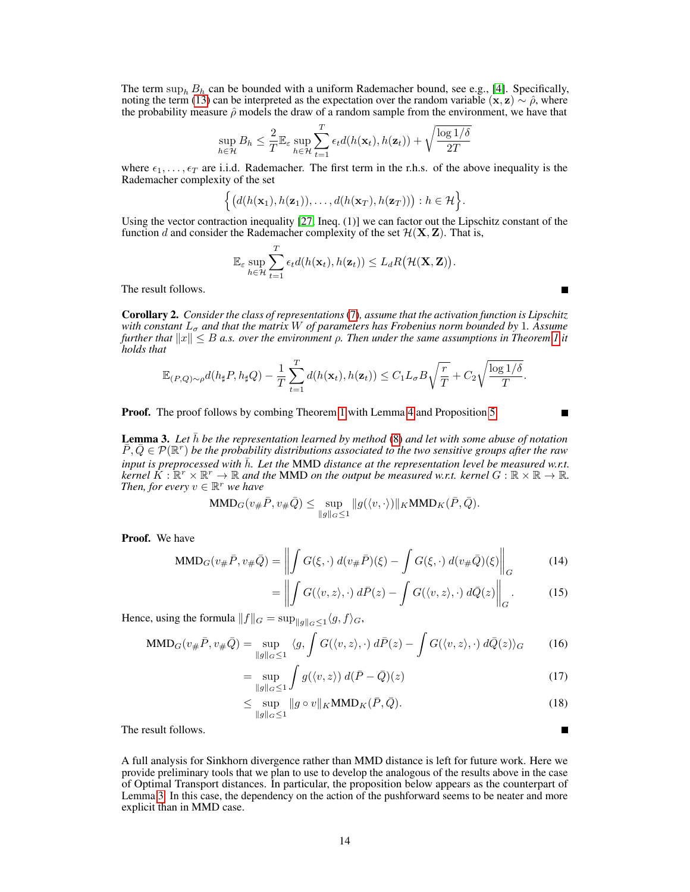The term  $\sup_b B_h$  can be bounded with a uniform Rademacher bound, see e.g., [\[4\]](#page--1-4). Specifically, noting the term [\(13\)](#page-1-0) can be interpreted as the expectation over the random variable (x, z) ∼  $\hat{\rho}$ , where the probability measure  $\hat{\rho}$  models the draw of a random sample from the environment, we have that

$$
\sup_{h \in \mathcal{H}} B_h \leq \frac{2}{T} \mathbb{E}_{\varepsilon} \sup_{h \in \mathcal{H}} \sum_{t=1}^T \epsilon_t d(h(\mathbf{x}_t), h(\mathbf{z}_t)) + \sqrt{\frac{\log 1/\delta}{2T}}
$$

where  $\epsilon_1, \ldots, \epsilon_T$  are i.i.d. Rademacher. The first term in the r.h.s. of the above inequality is the Rademacher complexity of the set

$$
\Big\{ \big(d(h(\mathbf{x}_1), h(\mathbf{z}_1)), \ldots, d(h(\mathbf{x}_T), h(\mathbf{z}_T))\big) : h \in \mathcal{H} \Big\}.
$$

Using the vector contraction inequality [\[27,](#page--1-5) Ineq. (1)] we can factor out the Lipschitz constant of the function d and consider the Rademacher complexity of the set  $\mathcal{H}(\mathbf{X}, \mathbf{Z})$ . That is,

$$
\mathbb{E}_{\varepsilon} \sup_{h \in \mathcal{H}} \sum_{t=1}^T \epsilon_t d(h(\mathbf{x}_t), h(\mathbf{z}_t)) \leq L_d R(\mathcal{H}(\mathbf{X}, \mathbf{Z})).
$$

The result follows.

Corollary 2. *Consider the class of representations* [\(7\)](#page--1-6)*, assume that the activation function is Lipschitz with constant*  $L_{\sigma}$  *and that the matrix* W *of parameters has Frobenius norm bounded by* 1. Assume *further that*  $||x|| \leq B$  *a.s. over the environment*  $\rho$ . Then under the same assumptions in Theorem [1](#page--1-2) it *holds that*

$$
\mathbb{E}_{(P,Q)\sim\rho}d(h_{\sharp}P,h_{\sharp}Q)-\frac{1}{T}\sum_{t=1}^Td(h(\mathbf{x}_t),h(\mathbf{z}_t))\leq C_1L_{\sigma}B\sqrt{\frac{r}{T}}+C_2\sqrt{\frac{\log 1/\delta}{T}}.
$$

**Proof.** The proof follows by combing Theorem [1](#page--1-2) with Lemma [4](#page-0-0) and Proposition [5.](#page-0-1)

**Lemma 3.** Let  $h$  be the representation learned by method  $(8)$  and let with some abuse of notation  $\overline{P}, \overline{Q} \in \mathcal{P}(\mathbb{R}^r)$  *be the probability distributions associated to the two sensitive groups after the raw input is preprocessed with*  $\bar{h}$ . Let the MMD *distance at the representation level be measured w.r.t. kernel*  $\overline{K}: \mathbb{R}^r \times \mathbb{R}^r \to \mathbb{R}$  and the MMD on the output be measured w.r.t. kernel  $G: \mathbb{R} \times \mathbb{R} \to \mathbb{R}$ . *Then, for every*  $v \in \mathbb{R}^r$  *we have* 

$$
\text{MMD}_G(v_{\#}\bar{P}, v_{\#}\bar{Q}) \leq \sup_{\|g\|_G \leq 1} \|g(\langle v, \cdot \rangle)\|_K \text{MMD}_K(\bar{P}, \bar{Q}).
$$

Proof. We have

$$
\text{MMD}_G(v_\# \bar{P}, v_\# \bar{Q}) = \left\| \int G(\xi, \cdot) \, d(v_\# \bar{P})(\xi) - \int G(\xi, \cdot) \, d(v_\# \bar{Q})(\xi) \right\|_G \tag{14}
$$

$$
= \left\| \int G(\langle v, z \rangle, \cdot) \, d\bar{P}(z) - \int G(\langle v, z \rangle, \cdot) \, d\bar{Q}(z) \right\|_G. \tag{15}
$$

Hence, using the formula  $||f||_G = \sup_{||g||_G \leq 1} \langle g, f \rangle_G$ ,

$$
\text{MMD}_G(v_\# \bar{P}, v_\# \bar{Q}) = \sup_{\|g\|_G \le 1} \langle g, \int G(\langle v, z \rangle, \cdot) \, d\bar{P}(z) - \int G(\langle v, z \rangle, \cdot) \, d\bar{Q}(z) \rangle_G \tag{16}
$$

$$
= \sup_{\|g\|_{G} \le 1} \int g(\langle v, z \rangle) d(\bar{P} - \bar{Q})(z)
$$
\n(17)

$$
\leq \sup_{\|g\|_{G} \leq 1} \|g \circ v\|_{K} \text{MMD}_{K}(\bar{P}, \bar{Q}). \tag{18}
$$

The result follows.

A full analysis for Sinkhorn divergence rather than MMD distance is left for future work. Here we provide preliminary tools that we plan to use to develop the analogous of the results above in the case of Optimal Transport distances. In particular, the proposition below appears as the counterpart of Lemma [3.](#page--1-8) In this case, the dependency on the action of the pushforward seems to be neater and more explicit than in MMD case.

Г

Е

Е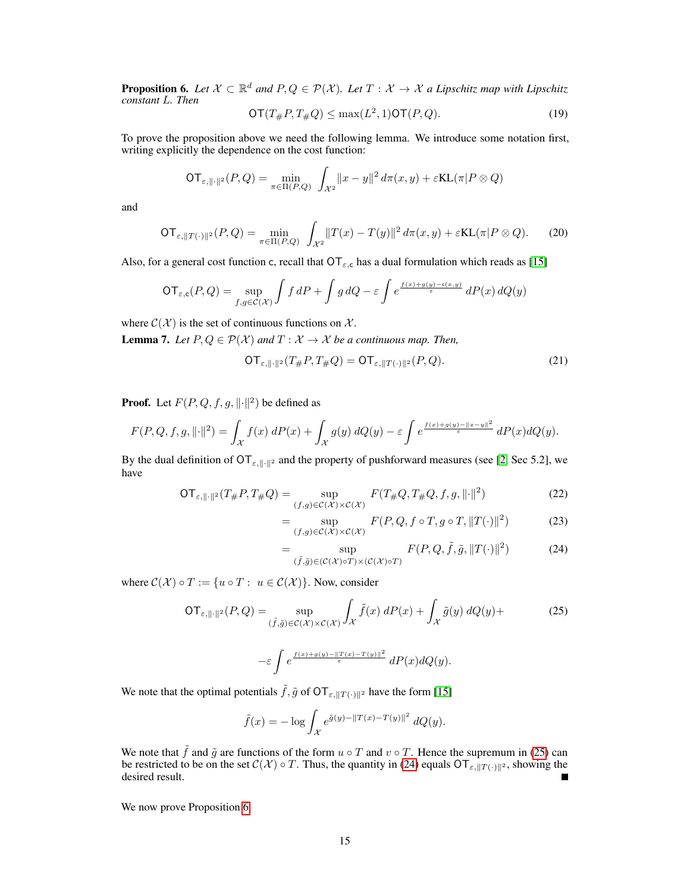<span id="page-3-2"></span>**Proposition 6.** Let  $X \subset \mathbb{R}^d$  and  $P, Q \in \mathcal{P}(X)$ . Let  $T : X \to X$  a Lipschitz map with Lipschitz *constant* L*. Then*

$$
\mathsf{OT}(T_{\#}P, T_{\#}Q) \le \max(L^2, 1)\mathsf{OT}(P, Q). \tag{19}
$$

To prove the proposition above we need the following lemma. We introduce some notation first, writing explicitly the dependence on the cost function:

$$
\mathsf{OT}_{\varepsilon, \|\cdot\|^2}(P, Q) = \min_{\pi \in \Pi(P, Q)} \int_{\mathcal{X}^2} \|x - y\|^2 \, d\pi(x, y) + \varepsilon \mathsf{KL}(\pi | P \otimes Q)
$$

<span id="page-3-4"></span>and

$$
\mathsf{OT}_{\varepsilon, \|T(\cdot)\|^2}(P, Q) = \min_{\pi \in \Pi(P, Q)} \int_{\mathcal{X}^2} \|T(x) - T(y)\|^2 \, d\pi(x, y) + \varepsilon \mathsf{KL}(\pi | P \otimes Q). \tag{20}
$$

Also, for a general cost function c, recall that  $\text{OT}_{\varepsilon,c}$  has a dual formulation which reads as [\[15\]](#page--1-9)

$$
\mathsf{OT}_{\varepsilon,\mathsf{c}}(P,Q) = \sup_{f,g \in \mathcal{C}(\mathcal{X})} \int f \, dP + \int g \, dQ - \varepsilon \int e^{\frac{f(x) + g(y) - \mathsf{c}(x,y)}{\varepsilon}} \, dP(x) \, dQ(y)
$$

where  $C(\mathcal{X})$  is the set of continuous functions on  $\mathcal{X}$ .

<span id="page-3-3"></span>**Lemma 7.** *Let*  $P, Q \in \mathcal{P}(\mathcal{X})$  *and*  $T : \mathcal{X} \to \mathcal{X}$  *be a continuous map. Then,* 

$$
\mathsf{OT}_{\varepsilon, \|\cdot\|^2}(T_{\#}P, T_{\#}Q) = \mathsf{OT}_{\varepsilon, \|T(\cdot)\|^2}(P, Q). \tag{21}
$$

**Proof.** Let  $F(P,Q,f,g,\|\cdot\|^2)$  be defined as

$$
F(P,Q,f,g,\lVert \cdot \rVert^2) = \int_{\mathcal{X}} f(x) \, dP(x) + \int_{\mathcal{X}} g(y) \, dQ(y) - \varepsilon \int e^{\frac{f(x) + g(y) - \lVert x - y \rVert^2}{\varepsilon}} \, dP(x) dQ(y).
$$

By the dual definition of  $\text{OT}_{\varepsilon, \|\cdot\|^2}$  and the property of pushforward measures (see [\[2,](#page--1-10) Sec 5.2], we have

$$
\mathsf{OT}_{\varepsilon, \|\cdot\|^2}(T_{\#}P, T_{\#}Q) = \sup_{(f,g)\in\mathcal{C}(\mathcal{X})\times\mathcal{C}(\mathcal{X})} F(T_{\#}Q, T_{\#}Q, f, g, \|\cdot\|^2) \tag{22}
$$

$$
= \sup_{(f,g)\in\mathcal{C}(\mathcal{X})\times\mathcal{C}(\mathcal{X})} F(P,Q,f\circ T,g\circ T,\|T(\cdot)\|^2)
$$
 (23)

<span id="page-3-1"></span><span id="page-3-0"></span>
$$
= \sup_{(\tilde{f},\tilde{g}) \in (\mathcal{C}(\mathcal{X}) \circ T) \times (\mathcal{C}(\mathcal{X}) \circ T)} F(P,Q,\tilde{f},\tilde{g}, \|T(\cdot)\|^2)
$$
(24)

where  $C(\mathcal{X}) \circ T := \{u \circ T : u \in C(\mathcal{X})\}$ . Now, consider

$$
\mathsf{OT}_{\varepsilon, \|\cdot\|^2}(P, Q) = \sup_{(\tilde{f}, \tilde{g}) \in \mathcal{C}(\mathcal{X})} \int_{\mathcal{X}} \tilde{f}(x) \, dP(x) + \int_{\mathcal{X}} \tilde{g}(y) \, dQ(y) + \tag{25}
$$

$$
-\varepsilon\int e^{\frac{f(x)+g(y)-\|T(x)-T(y)\|^2}{\varepsilon}}\,dP(x)dQ(y).
$$

We note that the optimal potentials  $\tilde{f}, \tilde{g}$  of  $\sigma T_{\varepsilon, ||T(\cdot)||^2}$  have the form [\[15\]](#page--1-9)

$$
\tilde{f}(x) = -\log \int_{\mathcal{X}} e^{\tilde{g}(y) - ||T(x) - T(y)||^2} dQ(y).
$$

We note that  $\tilde{f}$  and  $\tilde{g}$  are functions of the form  $u \circ T$  and  $v \circ T$ . Hence the supremum in [\(25\)](#page-3-0) can be restricted to be on the set  $C(\mathcal{X}) \circ T$ . Thus, the quantity in [\(24\)](#page-3-1) equals  $\mathcal{OT}_{\varepsilon, \|T(\cdot)\|^2}$ , showing the desired result. П

We now prove Proposition [6.](#page-3-2)